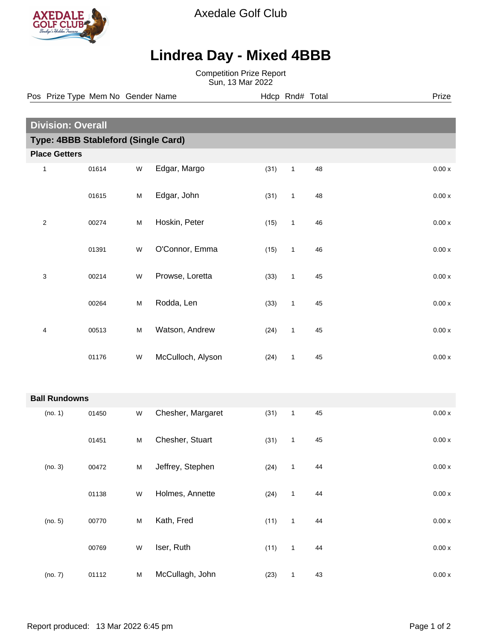

Axedale Golf Club

## **Lindrea Day - Mixed 4BBB**

Competition Prize Report Sun, 13 Mar 2022

|              | Pos Prize Type Mem No Gender Name   |       |           |                   |      | Hdcp Rnd# Total |    | Prize              |
|--------------|-------------------------------------|-------|-----------|-------------------|------|-----------------|----|--------------------|
|              |                                     |       |           |                   |      |                 |    |                    |
|              | <b>Division: Overall</b>            |       |           |                   |      |                 |    |                    |
|              | Type: 4BBB Stableford (Single Card) |       |           |                   |      |                 |    |                    |
|              | <b>Place Getters</b>                |       |           |                   |      |                 |    |                    |
| $\mathbf{1}$ |                                     | 01614 | ${\sf W}$ | Edgar, Margo      | (31) | $\mathbf{1}$    | 48 | $0.00\,\mathrm{x}$ |
|              |                                     | 01615 | M         | Edgar, John       | (31) | $\mathbf{1}$    | 48 | 0.00x              |
|              | $\overline{\mathbf{c}}$             | 00274 | M         | Hoskin, Peter     | (15) | $\mathbf{1}$    | 46 | 0.00x              |
|              |                                     | 01391 | W         | O'Connor, Emma    | (15) | $\mathbf{1}$    | 46 | 0.00x              |
| 3            |                                     | 00214 | W         | Prowse, Loretta   | (33) | $\mathbf{1}$    | 45 | 0.00x              |
|              |                                     | 00264 | M         | Rodda, Len        | (33) | $\mathbf{1}$    | 45 | 0.00x              |
|              | 4                                   | 00513 | M         | Watson, Andrew    | (24) | $\mathbf{1}$    | 45 | 0.00x              |
|              |                                     | 01176 | ${\sf W}$ | McCulloch, Alyson | (24) | $\mathbf{1}$    | 45 | $0.00\,\mathrm{x}$ |
|              | <b>Ball Rundowns</b>                |       |           |                   |      |                 |    |                    |
|              | (no. 1)                             | 01450 | W         | Chesher, Margaret | (31) | $\mathbf{1}$    | 45 | $0.00\,\mathrm{x}$ |
|              |                                     | 01451 | M         | Chesher, Stuart   | (31) | 1               | 45 | 0.00 x             |
|              | (no. 3)                             | 00472 | ${\sf M}$ | Jeffrey, Stephen  | (24) | $\mathbf{1}$    | 44 | $0.00\,\mathrm{x}$ |
|              |                                     | 01138 | ${\sf W}$ | Holmes, Annette   | (24) | $\mathbf{1}$    | 44 | $0.00\,\mathrm{x}$ |
|              | (no. 5)                             | 00770 | ${\sf M}$ | Kath, Fred        | (11) | $\mathbf{1}$    | 44 | $0.00\,\mathrm{x}$ |
|              |                                     | 00769 | ${\sf W}$ | Iser, Ruth        | (11) | $\mathbf{1}$    | 44 | $0.00\,\mathrm{x}$ |
|              | (no. 7)                             | 01112 | M         | McCullagh, John   | (23) | $\mathbf{1}$    | 43 | $0.00\,\mathrm{x}$ |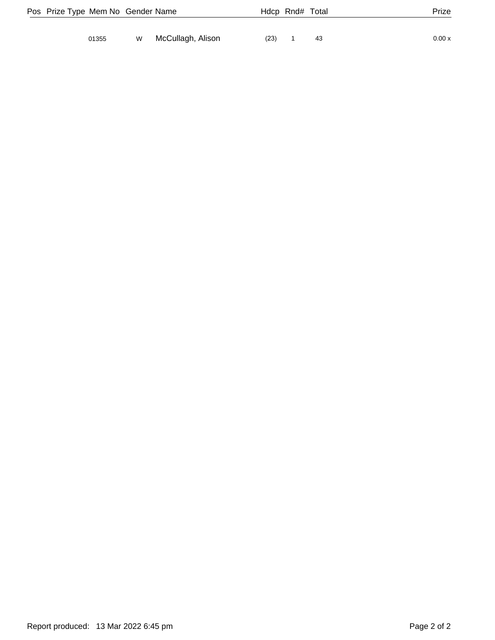| Pos Prize Type Mem No Gender Name |   |                   |      | Hdcp Rnd# Total |    | Prize  |
|-----------------------------------|---|-------------------|------|-----------------|----|--------|
|                                   |   |                   |      |                 |    |        |
| 01355                             | W | McCullagh, Alison | (23) |                 | 43 | 0.00 x |